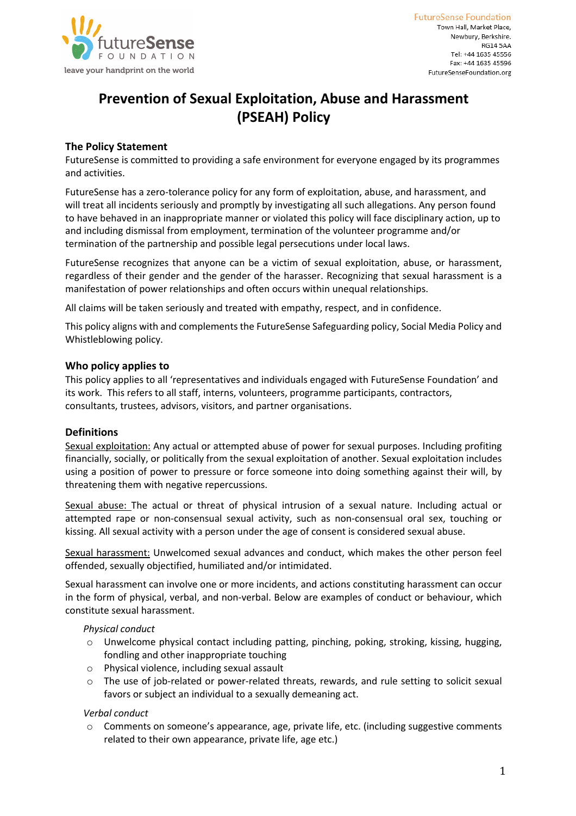

# **Prevention of Sexual Exploitation, Abuse and Harassment (PSEAH) Policy**

# **The Policy Statement**

FutureSense is committed to providing a safe environment for everyone engaged by its programmes and activities.

FutureSense has a zero-tolerance policy for any form of exploitation, abuse, and harassment, and will treat all incidents seriously and promptly by investigating all such allegations. Any person found to have behaved in an inappropriate manner or violated this policy will face disciplinary action, up to and including dismissal from employment, termination of the volunteer programme and/or termination of the partnership and possible legal persecutions under local laws.

FutureSense recognizes that anyone can be a victim of sexual exploitation, abuse, or harassment, regardless of their gender and the gender of the harasser. Recognizing that sexual harassment is a manifestation of power relationships and often occurs within unequal relationships.

All claims will be taken seriously and treated with empathy, respect, and in confidence.

This policy aligns with and complements the FutureSense Safeguarding policy, Social Media Policy and Whistleblowing policy.

# **Who policy applies to**

This policy applies to all 'representatives and individuals engaged with FutureSense Foundation' and its work. This refers to all staff, interns, volunteers, programme participants, contractors, consultants, trustees, advisors, visitors, and partner organisations.

# **Definitions**

Sexual exploitation: Any actual or attempted abuse of power for sexual purposes. Including profiting financially, socially, or politically from the sexual exploitation of another. Sexual exploitation includes using a position of power to pressure or force someone into doing something against their will, by threatening them with negative repercussions.

Sexual abuse: The actual or threat of physical intrusion of a sexual nature. Including actual or attempted rape or non-consensual sexual activity, such as non-consensual oral sex, touching or kissing. All sexual activity with a person under the age of consent is considered sexual abuse.

Sexual harassment: Unwelcomed sexual advances and conduct, which makes the other person feel offended, sexually objectified, humiliated and/or intimidated.

Sexual harassment can involve one or more incidents, and actions constituting harassment can occur in the form of physical, verbal, and non-verbal. Below are examples of conduct or behaviour, which constitute sexual harassment.

## *Physical conduct*

- o Unwelcome physical contact including patting, pinching, poking, stroking, kissing, hugging, fondling and other inappropriate touching
- o Physical violence, including sexual assault
- o The use of job-related or power-related threats, rewards, and rule setting to solicit sexual favors or subject an individual to a sexually demeaning act.

# *Verbal conduct*

o Comments on someone's appearance, age, private life, etc. (including suggestive comments related to their own appearance, private life, age etc.)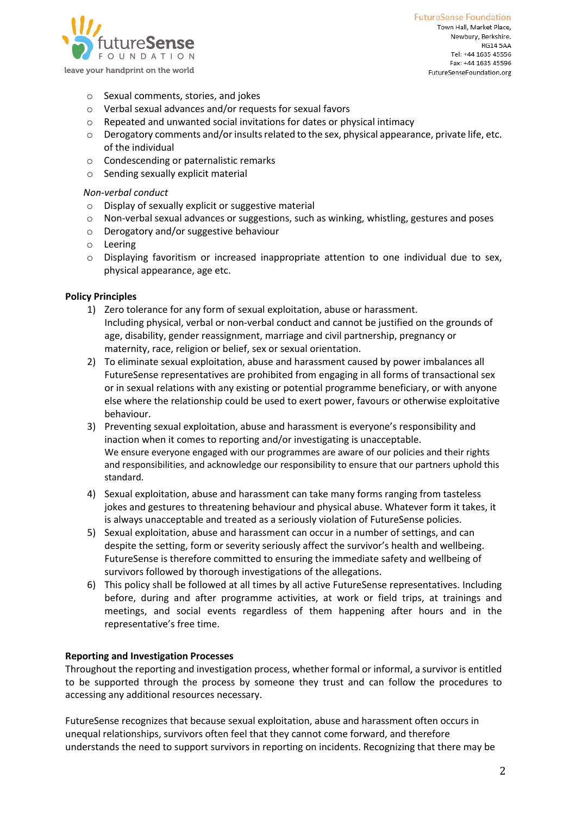

**FutureSense Foundation** Town Hall, Market Place, Newbury, Berkshire. **RG14 5AA** Tel: +44 1635 45556 Fax: +44 1635 45596 FutureSenseFoundation.org

- o Sexual comments, stories, and jokes
- o Verbal sexual advances and/or requests for sexual favors
- o Repeated and unwanted social invitations for dates or physical intimacy
- $\circ$  Derogatory comments and/or insults related to the sex, physical appearance, private life, etc. of the individual
- o Condescending or paternalistic remarks
- o Sending sexually explicit material

#### *Non-verbal conduct*

- o Display of sexually explicit or suggestive material
- $\circ$  Non-verbal sexual advances or suggestions, such as winking, whistling, gestures and poses
- o Derogatory and/or suggestive behaviour
- o Leering
- o Displaying favoritism or increased inappropriate attention to one individual due to sex, physical appearance, age etc.

#### **Policy Principles**

- 1) Zero tolerance for any form of sexual exploitation, abuse or harassment. Including physical, verbal or non-verbal conduct and cannot be justified on the grounds of age, disability, gender reassignment, marriage and civil partnership, pregnancy or maternity, race, religion or belief, sex or sexual orientation.
- 2) To eliminate sexual exploitation, abuse and harassment caused by power imbalances all FutureSense representatives are prohibited from engaging in all forms of transactional sex or in sexual relations with any existing or potential programme beneficiary, or with anyone else where the relationship could be used to exert power, favours or otherwise exploitative behaviour.
- 3) Preventing sexual exploitation, abuse and harassment is everyone's responsibility and inaction when it comes to reporting and/or investigating is unacceptable. We ensure everyone engaged with our programmes are aware of our policies and their rights and responsibilities, and acknowledge our responsibility to ensure that our partners uphold this standard.
- 4) Sexual exploitation, abuse and harassment can take many forms ranging from tasteless jokes and gestures to threatening behaviour and physical abuse. Whatever form it takes, it is always unacceptable and treated as a seriously violation of FutureSense policies.
- 5) Sexual exploitation, abuse and harassment can occur in a number of settings, and can despite the setting, form or severity seriously affect the survivor's health and wellbeing. FutureSense is therefore committed to ensuring the immediate safety and wellbeing of survivors followed by thorough investigations of the allegations.
- 6) This policy shall be followed at all times by all active FutureSense representatives. Including before, during and after programme activities, at work or field trips, at trainings and meetings, and social events regardless of them happening after hours and in the representative's free time.

#### **Reporting and Investigation Processes**

Throughout the reporting and investigation process, whether formal or informal, a survivor is entitled to be supported through the process by someone they trust and can follow the procedures to accessing any additional resources necessary.

FutureSense recognizes that because sexual exploitation, abuse and harassment often occurs in unequal relationships, survivors often feel that they cannot come forward, and therefore understands the need to support survivors in reporting on incidents. Recognizing that there may be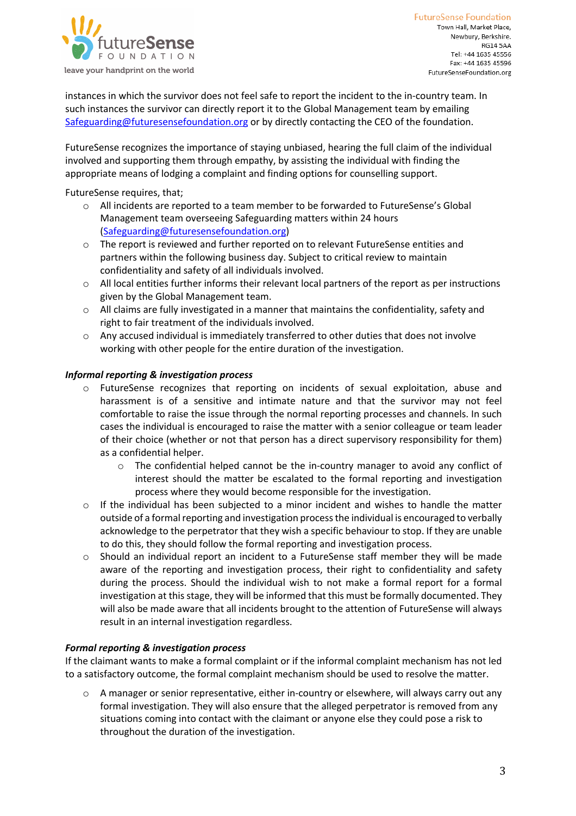

**FutureSense Foundation** Town Hall, Market Place, Newbury, Berkshire. **RG14 5AA** Tel: +44 1635 45556 Fax: +44 1635 45596 FutureSenseFoundation.org

instances in which the survivor does not feel safe to report the incident to the in-country team. In such instances the survivor can directly report it to the Global Management team by emailing Safeguarding@futuresensefoundation.org or by directly contacting the CEO of the foundation.

FutureSense recognizes the importance of staying unbiased, hearing the full claim of the individual involved and supporting them through empathy, by assisting the individual with finding the appropriate means of lodging a complaint and finding options for counselling support.

FutureSense requires, that;

- o All incidents are reported to a team member to be forwarded to FutureSense's Global Management team overseeing Safeguarding matters within 24 hours (Safeguarding@futuresensefoundation.org)
- o The report is reviewed and further reported on to relevant FutureSense entities and partners within the following business day. Subject to critical review to maintain confidentiality and safety of all individuals involved.
- $\circ$  All local entities further informs their relevant local partners of the report as per instructions given by the Global Management team.
- $\circ$  All claims are fully investigated in a manner that maintains the confidentiality, safety and right to fair treatment of the individuals involved.
- $\circ$  Any accused individual is immediately transferred to other duties that does not involve working with other people for the entire duration of the investigation.

## *Informal reporting & investigation process*

- o FutureSense recognizes that reporting on incidents of sexual exploitation, abuse and harassment is of a sensitive and intimate nature and that the survivor may not feel comfortable to raise the issue through the normal reporting processes and channels. In such cases the individual is encouraged to raise the matter with a senior colleague or team leader of their choice (whether or not that person has a direct supervisory responsibility for them) as a confidential helper.
	- $\circ$  The confidential helped cannot be the in-country manager to avoid any conflict of interest should the matter be escalated to the formal reporting and investigation process where they would become responsible for the investigation.
- $\circ$  If the individual has been subjected to a minor incident and wishes to handle the matter outside of a formal reporting and investigation process the individual is encouraged to verbally acknowledge to the perpetrator that they wish a specific behaviour to stop. If they are unable to do this, they should follow the formal reporting and investigation process.
- Should an individual report an incident to a FutureSense staff member they will be made aware of the reporting and investigation process, their right to confidentiality and safety during the process. Should the individual wish to not make a formal report for a formal investigation at this stage, they will be informed that this must be formally documented. They will also be made aware that all incidents brought to the attention of FutureSense will always result in an internal investigation regardless.

## *Formal reporting & investigation process*

If the claimant wants to make a formal complaint or if the informal complaint mechanism has not led to a satisfactory outcome, the formal complaint mechanism should be used to resolve the matter.

A manager or senior representative, either in-country or elsewhere, will always carry out any formal investigation. They will also ensure that the alleged perpetrator is removed from any situations coming into contact with the claimant or anyone else they could pose a risk to throughout the duration of the investigation.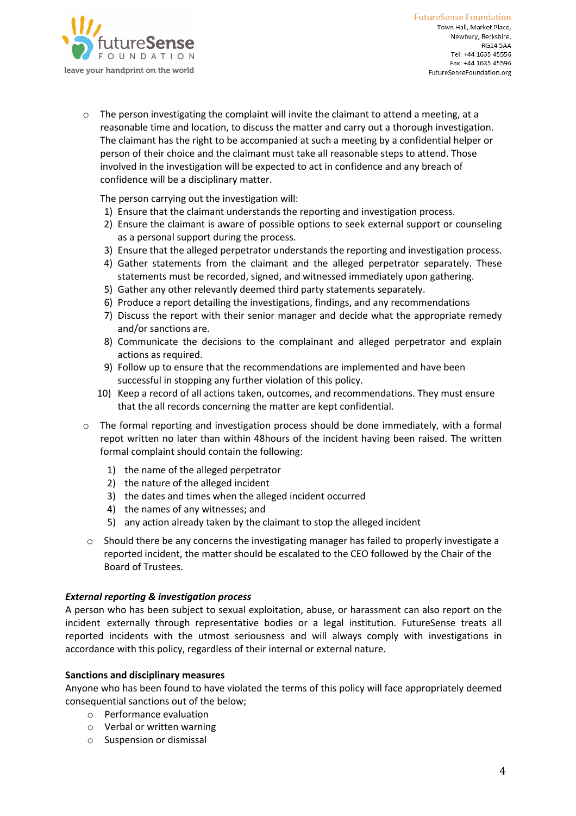

 $\circ$  The person investigating the complaint will invite the claimant to attend a meeting, at a reasonable time and location, to discuss the matter and carry out a thorough investigation. The claimant has the right to be accompanied at such a meeting by a confidential helper or person of their choice and the claimant must take all reasonable steps to attend. Those involved in the investigation will be expected to act in confidence and any breach of confidence will be a disciplinary matter.

The person carrying out the investigation will:

- 1) Ensure that the claimant understands the reporting and investigation process.
- 2) Ensure the claimant is aware of possible options to seek external support or counseling as a personal support during the process.
- 3) Ensure that the alleged perpetrator understands the reporting and investigation process.
- 4) Gather statements from the claimant and the alleged perpetrator separately. These statements must be recorded, signed, and witnessed immediately upon gathering.
- 5) Gather any other relevantly deemed third party statements separately.
- 6) Produce a report detailing the investigations, findings, and any recommendations
- 7) Discuss the report with their senior manager and decide what the appropriate remedy and/or sanctions are.
- 8) Communicate the decisions to the complainant and alleged perpetrator and explain actions as required.
- 9) Follow up to ensure that the recommendations are implemented and have been successful in stopping any further violation of this policy.
- 10) Keep a record of all actions taken, outcomes, and recommendations. They must ensure that the all records concerning the matter are kept confidential.
- $\circ$  The formal reporting and investigation process should be done immediately, with a formal repot written no later than within 48hours of the incident having been raised. The written formal complaint should contain the following:
	- 1) the name of the alleged perpetrator
	- 2) the nature of the alleged incident
	- 3) the dates and times when the alleged incident occurred
	- 4) the names of any witnesses; and
	- 5) any action already taken by the claimant to stop the alleged incident
- $\circ$  Should there be any concerns the investigating manager has failed to properly investigate a reported incident, the matter should be escalated to the CEO followed by the Chair of the Board of Trustees.

## *External reporting & investigation process*

A person who has been subject to sexual exploitation, abuse, or harassment can also report on the incident externally through representative bodies or a legal institution. FutureSense treats all reported incidents with the utmost seriousness and will always comply with investigations in accordance with this policy, regardless of their internal or external nature.

## **Sanctions and disciplinary measures**

Anyone who has been found to have violated the terms of this policy will face appropriately deemed consequential sanctions out of the below;

- o Performance evaluation
- o Verbal or written warning
- o Suspension or dismissal